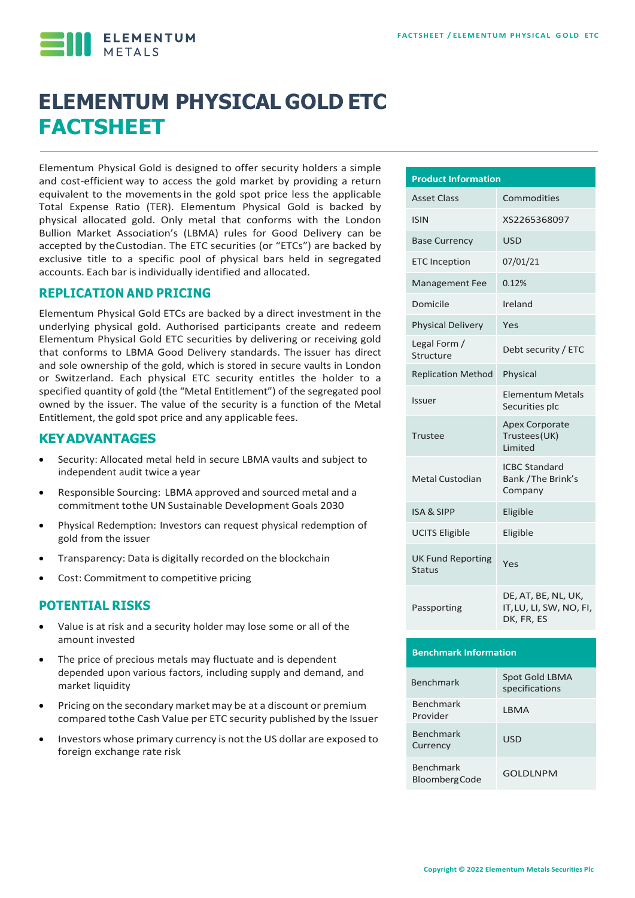**ELEMENTUM** 

# **ELEMENTUM PHYSICAL GOLD ETC FACTSHEET**

Elementum Physical Gold is designed to offer security holders a simple and cost-efficient way to access the gold market by providing a return equivalent to the movementsin the gold spot price less the applicable Total Expense Ratio (TER). Elementum Physical Gold is backed by physical allocated gold. Only metal that conforms with the London Bullion Market Association's (LBMA) rules for Good Delivery can be accepted by theCustodian. The ETC securities (or "ETCs") are backed by exclusive title to a specific pool of physical bars held in segregated accounts. Each bar is individually identified and allocated.

### **REPLICATION AND PRICING**

Elementum Physical Gold ETCs are backed by a direct investment in the underlying physical gold. Authorised participants create and redeem Elementum Physical Gold ETC securities by delivering or receiving gold that conforms to LBMA Good Delivery standards. The issuer has direct and sole ownership of the gold, which is stored in secure vaults in London or Switzerland. Each physical ETC security entitles the holder to a specified quantity of gold (the "Metal Entitlement") of the segregated pool owned by the issuer. The value of the security is a function of the Metal Entitlement, the gold spot price and any applicable fees.

### **KEYADVANTAGES**

- Security: Allocated metal held in secure LBMA vaults and subject to independent audit twice a year
- Responsible Sourcing: LBMA approved and sourced metal and a commitment tothe UN Sustainable Development Goals 2030
- Physical Redemption: Investors can request physical redemption of gold from the issuer
- Transparency: Data is digitally recorded on the blockchain
- Cost: Commitment to competitive pricing

#### **POTENTIAL RISKS**

- Value is at risk and a security holder may lose some or all of the amount invested
- The price of precious metals may fluctuate and is dependent depended upon various factors, including supply and demand, and market liquidity
- Pricing on the secondary market may be at a discount or premium compared tothe Cash Value per ETC security published by the Issuer
- Investors whose primary currency is not the US dollar are exposed to foreign exchange rate risk

| <b>Product Information</b>                |                                                              |  |  |  |  |
|-------------------------------------------|--------------------------------------------------------------|--|--|--|--|
| <b>Asset Class</b>                        | Commodities                                                  |  |  |  |  |
| <b>ISIN</b>                               | XS2265368097                                                 |  |  |  |  |
| <b>Base Currency</b>                      | <b>USD</b>                                                   |  |  |  |  |
| <b>ETC Inception</b>                      | 07/01/21                                                     |  |  |  |  |
| <b>Management Fee</b>                     | 0.12%                                                        |  |  |  |  |
| Domicile                                  | Ireland                                                      |  |  |  |  |
| <b>Physical Delivery</b>                  | Yes                                                          |  |  |  |  |
| Legal Form /<br>Structure                 | Debt security / ETC                                          |  |  |  |  |
| <b>Replication Method</b>                 | Physical                                                     |  |  |  |  |
| <b>Issuer</b>                             | Elementum Metals<br>Securities plc                           |  |  |  |  |
| <b>Trustee</b>                            | <b>Apex Corporate</b><br>Trustees(UK)<br><b>Limited</b>      |  |  |  |  |
| Metal Custodian                           | <b>ICBC Standard</b><br>Bank / The Brink's<br>Company        |  |  |  |  |
| <b>ISA &amp; SIPP</b>                     | Eligible                                                     |  |  |  |  |
| <b>UCITS Eligible</b>                     | Eligible                                                     |  |  |  |  |
| <b>UK Fund Reporting</b><br><b>Status</b> | Yes                                                          |  |  |  |  |
| Passporting                               | DE, AT, BE, NL, UK,<br>IT, LU, LI, SW, NO, FI,<br>DK, FR, ES |  |  |  |  |

#### **Benchmark Information**

| <b>Benchmark</b>                         | Spot Gold LBMA<br>specifications |
|------------------------------------------|----------------------------------|
| <b>Benchmark</b><br>Provider             | I BMA                            |
| <b>Benchmark</b><br>Currency             | <b>USD</b>                       |
| <b>Benchmark</b><br><b>BloombergCode</b> | <b>GOLDLNPM</b>                  |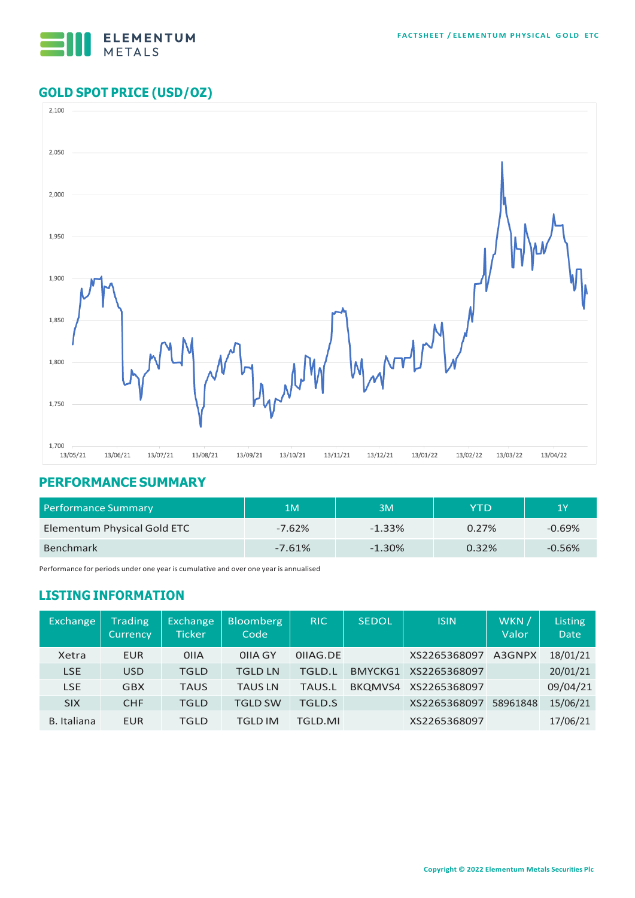

# **GOLD SPOT PRICE (USD/OZ)**



# **PERFORMANCE SUMMARY**

| <b>Performance Summary</b>  | 1M       | 3M        | YTD   | 1Υ       |
|-----------------------------|----------|-----------|-------|----------|
| Elementum Physical Gold ETC | $-7.62%$ | $-1.33\%$ | 0.27% | $-0.69%$ |
| <b>Benchmark</b>            | $-7.61%$ | $-1.30%$  | 0.32% | $-0.56%$ |

Performance for periods under one year is cumulative and over one year is annualised

# **LISTING INFORMATION**

| <b>Exchange</b>    | <b>Trading</b><br>Currency | Exchange<br>Ticker | <b>Bloomberg</b><br>Code | <b>RIC</b>    | <b>SEDOL</b>   | <b>ISIN</b>  | WKN /<br>Valor | Listing<br><b>Date</b> |
|--------------------|----------------------------|--------------------|--------------------------|---------------|----------------|--------------|----------------|------------------------|
| Xetra              | <b>EUR</b>                 | 0 <sub>II</sub> A  | OIIA GY                  | OIIAG.DE      |                | XS2265368097 | A3GNPX         | 18/01/21               |
| <b>LSE</b>         | <b>USD</b>                 | <b>TGLD</b>        | TGLD LN                  | <b>TGLD.L</b> | <b>BMYCKG1</b> | XS2265368097 |                | 20/01/21               |
| <b>LSE</b>         | <b>GBX</b>                 | <b>TAUS</b>        | <b>TAUS LN</b>           | <b>TAUS.L</b> | BKQMVS4        | XS2265368097 |                | 09/04/21               |
| <b>SIX</b>         | <b>CHF</b>                 | <b>TGLD</b>        | TGLD SW                  | <b>TGLD.S</b> |                | XS2265368097 | 58961848       | 15/06/21               |
| <b>B.</b> Italiana | <b>EUR</b>                 | TGLD               | TGLD IM                  | TGLD.MI       |                | XS2265368097 |                | 17/06/21               |